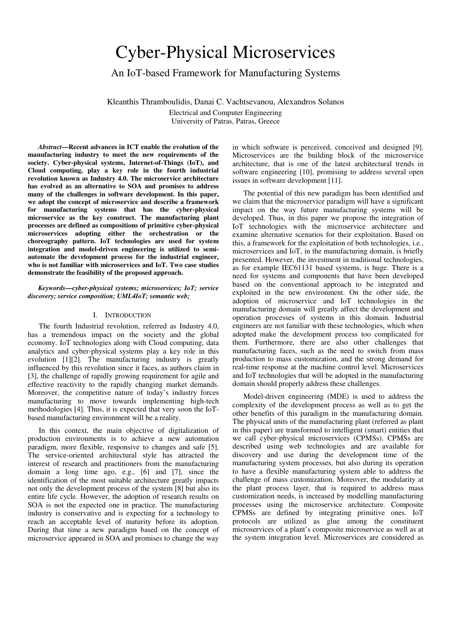# Cyber-Physical Microservices

# An IoT-based Framework for Manufacturing Systems

Kleanthis Thramboulidis, Danai C. Vachtsevanou, Alexandros Solanos Electrical and Computer Engineering University of Patras, Patras, Greece

*Abstract***—Recent advances in ICT enable the evolution of the manufacturing industry to meet the new requirements of the society. Cyber-physical systems, Internet-of-Things (IoT), and Cloud computing, play a key role in the fourth industrial revolution known as Industry 4.0. The microservice architecture has evolved as an alternative to SOA and promises to address many of the challenges in software development. In this paper, we adopt the concept of microservice and describe a framework for manufacturing systems that has the cyber-physical microservice as the key construct. The manufacturing plant processes are defined as compositions of primitive cyber-physical microservices adopting either the orchestration or the choreography pattern. IoT technologies are used for system integration and model-driven engineering is utilized to semiautomate the development process for the industrial engineer, who is not familiar with microservices and IoT. Two case studies demonstrate the feasibility of the proposed approach.** 

#### *Keywords—cyber-physical systems; microservices; IoT; service discovery; service composition; UML4IoT; semantic web;*

#### I. INTRODUCTION

The fourth Industrial revolution, referred as Industry 4.0, has a tremendous impact on the society and the global economy. IoT technologies along with Cloud computing, data analytics and cyber-physical systems play a key role in this evolution [1][2]. The manufacturing industry is greatly influenced by this revolution since it faces, as authors claim in [3], the challenge of rapidly growing requirement for agile and effective reactivity to the rapidly changing market demands. Moreover, the competitive nature of today's industry forces manufacturing to move towards implementing high-tech methodologies [4]. Thus, it is expected that very soon the IoTbased manufacturing environment will be a reality.

In this context, the main objective of digitalization of production environments is to achieve a new automation paradigm, more flexible, responsive to changes and safe [5]. The service-oriented architectural style has attracted the interest of research and practitioners from the manufacturing domain a long time ago, e.g., [6] and [7], since the identification of the most suitable architecture greatly impacts not only the development process of the system [8] but also its entire life cycle. However, the adoption of research results on SOA is not the expected one in practice. The manufacturing industry is conservative and is expecting for a technology to reach an acceptable level of maturity before its adoption. During that time a new paradigm based on the concept of microservice appeared in SOA and promises to change the way

in which software is perceived, conceived and designed [9]. Microservices are the building block of the microservice architecture, that is one of the latest architectural trends in software engineering [10], promising to address several open issues in software development [11].

The potential of this new paradigm has been identified and we claim that the microservice paradigm will have a significant impact on the way future manufacturing systems will be developed. Thus, in this paper we propose the integration of IoT technologies with the microservice architecture and examine alternative scenarios for their exploitation. Based on this, a framework for the exploitation of both technologies, i.e., microservices and IoT, in the manufacturing domain, is briefly presented. However, the investment in traditional technologies, as for example IEC61131 based systems, is huge. There is a need for systems and components that have been developed based on the conventional approach to be integrated and exploited in the new environment. On the other side, the adoption of microservice and IoT technologies in the manufacturing domain will greatly affect the development and operation processes of systems in this domain. Industrial engineers are not familiar with these technologies, which when adopted make the development process too complicated for them. Furthermore, there are also other challenges that manufacturing faces, such as the need to switch from mass production to mass customization, and the strong demand for real-time response at the machine control level. Microservices and IoT technologies that will be adopted in the manufacturing domain should properly address these challenges.

Model-driven engineering (MDE) is used to address the complexity of the development process as well as to get the other benefits of this paradigm in the manufacturing domain. The physical units of the manufacturing plant (referred as plant in this paper) are transformed to intelligent (smart) entities that we call cyber-physical microservices (CPMSs). CPMSs are described using web technologies and are available for discovery and use during the development time of the manufacturing system processes, but also during its operation to have a flexible manufacturing system able to address the challenge of mass customization. Moreover, the modularity at the plant process layer, that is required to address mass customization needs, is increased by modelling manufacturing processes using the microservice architecture. Composite CPMSs are defined by integrating primitive ones. IoT protocols are utilized as glue among the constituent microservices of a plant's composite microservice as well as at the system integration level. Microservices are considered as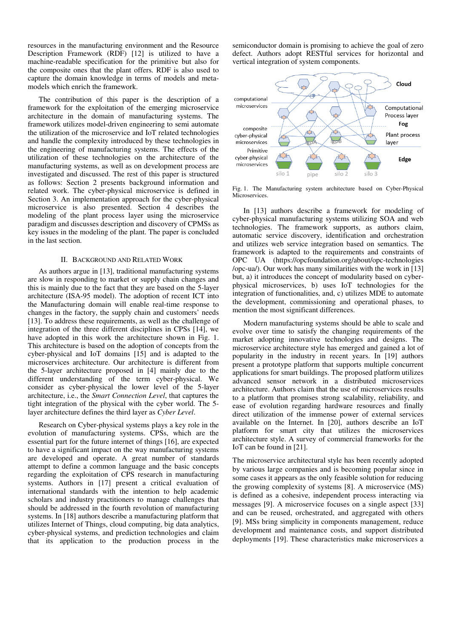resources in the manufacturing environment and the Resource Description Framework (RDF) [12] is utilized to have a machine-readable specification for the primitive but also for the composite ones that the plant offers. RDF is also used to capture the domain knowledge in terms of models and metamodels which enrich the framework.

The contribution of this paper is the description of a framework for the exploitation of the emerging microservice architecture in the domain of manufacturing systems. The framework utilizes model-driven engineering to semi automate the utilization of the microservice and IoT related technologies and handle the complexity introduced by these technologies in the engineering of manufacturing systems. The effects of the utilization of these technologies on the architecture of the manufacturing systems, as well as on development process are investigated and discussed. The rest of this paper is structured as follows: Section 2 presents background information and related work. The cyber-physical microservice is defined in Section 3. An implementation approach for the cyber-physical microservice is also presented. Section 4 describes the modeling of the plant process layer using the microservice paradigm and discusses description and discovery of CPMSs as key issues in the modeling of the plant. The paper is concluded in the last section.

#### II. BACKGROUND AND RELATED WORK

As authors argue in [13], traditional manufacturing systems are slow in responding to market or supply chain changes and this is mainly due to the fact that they are based on the 5-layer architecture (ISA-95 model). The adoption of recent ICT into the Manufacturing domain will enable real-time response to changes in the factory, the supply chain and customers' needs [13]. To address these requirements, as well as the challenge of integration of the three different disciplines in CPSs [14], we have adopted in this work the architecture shown in Fig. 1. This architecture is based on the adoption of concepts from the cyber-physical and IoT domains [15] and is adapted to the microservices architecture. Our architecture is different from the 5-layer architecture proposed in [4] mainly due to the different understanding of the term cyber-physical. We consider as cyber-physical the lower level of the 5-layer architecture, i.e., the *Smart Connection Level*, that captures the tight integration of the physical with the cyber world. The 5 layer architecture defines the third layer as *Cyber Level*.

Research on Cyber-physical systems plays a key role in the evolution of manufacturing systems. CPSs, which are the essential part for the future internet of things [16], are expected to have a significant impact on the way manufacturing systems are developed and operate. A great number of standards attempt to define a common language and the basic concepts regarding the exploitation of CPS research in manufacturing systems. Authors in [17] present a critical evaluation of international standards with the intention to help academic scholars and industry practitioners to manage challenges that should be addressed in the fourth revolution of manufacturing systems. In [18] authors describe a manufacturing platform that utilizes Internet of Things, cloud computing, big data analytics, cyber-physical systems, and prediction technologies and claim that its application to the production process in the semiconductor domain is promising to achieve the goal of zero defect. Authors adopt RESTful services for horizontal and vertical integration of system components.



Fig. 1. The Manufacturing system architecture based on Cyber-Physical Microservices.

In [13] authors describe a framework for modeling of cyber-physical manufacturing systems utilizing SOA and web technologies. The framework supports, as authors claim, automatic service discovery, identification and orchestration and utilizes web service integration based on semantics. The framework is adapted to the requirements and constraints of OPC UA (https://opcfoundation.org/about/opc-technologies /opc-ua/). Our work has many similarities with the work in [13] but, a) it introduces the concept of modularity based on cyberphysical microservices, b) uses IoT technologies for the integration of functionalities, and, c) utilizes MDE to automate the development, commissioning and operational phases, to mention the most significant differences.

Modern manufacturing systems should be able to scale and evolve over time to satisfy the changing requirements of the market adopting innovative technologies and designs. The microservice architecture style has emerged and gained a lot of popularity in the industry in recent years. In [19] authors present a prototype platform that supports multiple concurrent applications for smart buildings. The proposed platform utilizes advanced sensor network in a distributed microservices architecture. Authors claim that the use of microservices results to a platform that promises strong scalability, reliability, and ease of evolution regarding hardware resources and finally direct utilization of the immense power of external services available on the Internet. In [20], authors describe an IoT platform for smart city that utilizes the microservices architecture style. A survey of commercial frameworks for the IoT can be found in [21].

The microservice architectural style has been recently adopted by various large companies and is becoming popular since in some cases it appears as the only feasible solution for reducing the growing complexity of systems [8]. A microservice (MS) is defined as a cohesive, independent process interacting via messages [9]. A microservice focuses on a single aspect [33] and can be reused, orchestrated, and aggregated with others [9]. MSs bring simplicity in components management, reduce development and maintenance costs, and support distributed deployments [19]. These characteristics make microservices a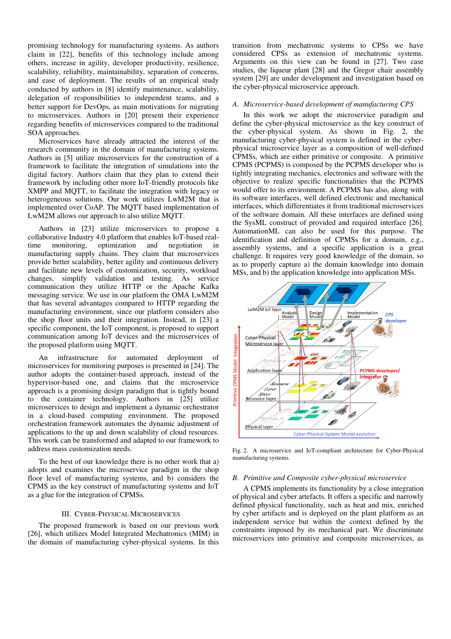promising technology for manufacturing systems. As authors claim in [22], benefits of this technology include among others, increase in agility, developer productivity, resilience, scalability, reliability, maintainability, separation of concerns, and ease of deployment. The results of an empirical study conducted by authors in [8] identify maintenance, scalability, delegation of responsibilities to independent teams, and a better support for DevOps, as main motivations for migrating to microservices. Authors in [20] present their experience regarding benefits of microservices compared to the traditional SOA approaches.

Microservices have already attracted the interest of the research community in the domain of manufacturing systems. Authors in [5] utilize microservices for the construction of a framework to facilitate the integration of simulations into the digital factory. Authors claim that they plan to extend their framework by including other more IoT-friendly protocols like XMPP and MQTT, to facilitate the integration with legacy or heterogeneous solutions. Our work utilizes LwM2M that is implemented over CoAP. The MQTT based implementation of LwM2M allows our approach to also utilize MQTT.

Authors in [23] utilize microservices to propose a collaborative Industry 4.0 platform that enables IoT-based realtime monitoring, optimization and negotiation in manufacturing supply chains. They claim that microservices provide better scalability, better agility and continuous delivery and facilitate new levels of customization, security, workload changes, simplify validation and testing. As service communication they utilize HTTP or the Apache Kafka messaging service. We use in our platform the OMA LwM2M that has several advantages compared to HTTP regarding the manufacturing environment, since our platform considers also the shop floor units and their integration. Instead, in [23] a specific component, the IoT component, is proposed to support communication among IoT devices and the microservices of the proposed platform using MQTT.

An infrastructure for automated deployment of microservices for monitoring purposes is presented in [24]. The author adopts the container-based approach, instead of the hypervisor-based one, and claims that the microservice approach is a promising design paradigm that is tightly bound to the container technology. Authors in [25] utilize microservices to design and implement a dynamic orchestrator in a cloud-based computing environment. The proposed orchestration framework automates the dynamic adjustment of applications to the up and down scalability of cloud resources. This work can be transformed and adapted to our framework to address mass customization needs.

To the best of our knowledge there is no other work that a) adopts and examines the microservice paradigm in the shop floor level of manufacturing systems, and b) considers the CPMS as the key construct of manufacturing systems and IoT as a glue for the integration of CPMSs.

#### III. CYBER-PHYSICAL MICROSERVICES

The proposed framework is based on our previous work [26], which utilizes Model Integrated Mechatronics (MIM) in the domain of manufacturing cyber-physical systems. In this transition from mechatronic systems to CPSs we have considered CPSs as extension of mechatronic systems. Arguments on this view can be found in [27]. Two case studies, the liqueur plant [28] and the Gregor chair assembly system [29] are under development and investigation based on the cyber-physical microservice approach.

#### *A. Microservice-based development of manufacturing CPS*

In this work we adopt the microservice paradigm and define the cyber-physical microservice as the key construct of the cyber-physical system. As shown in Fig. 2, the manufacturing cyber-physical system is defined in the cyberphysical microservice layer as a composition of well-defined CPMSs, which are either primitive or composite. A primitive CPMS (PCPMS) is composed by the PCPMS developer who is tightly integrating mechanics, electronics and software with the objective to realize specific functionalities that the PCPMS would offer to its environment. A PCPMS has also, along with its software interfaces, well defined electronic and mechanical interfaces, which differentiates it from traditional microservices of the software domain. All these interfaces are defined using the SysML construct of provided and required interface [26]. AutomationML can also be used for this purpose. The identification and definition of CPMSs for a domain, e.g., assembly systems, and a specific application is a great challenge. It requires very good knowledge of the domain, so as to properly capture a) the domain knowledge into domain MSs, and b) the application knowledge into application MSs.



Fig. 2. A microservice and IoT-compliant architecture for Cyber-Physical manufacturing systems.

#### *B. Primitive and Composite cyber-physical microservice*

A CPMS implements its functionality by a close integration of physical and cyber artefacts. It offers a specific and narrowly defined physical functionality, such as heat and mix, enriched by cyber artifacts and is deployed on the plant platform as an independent service but within the context defined by the constraints imposed by its mechanical part. We discriminate microservices into primitive and composite microservices, as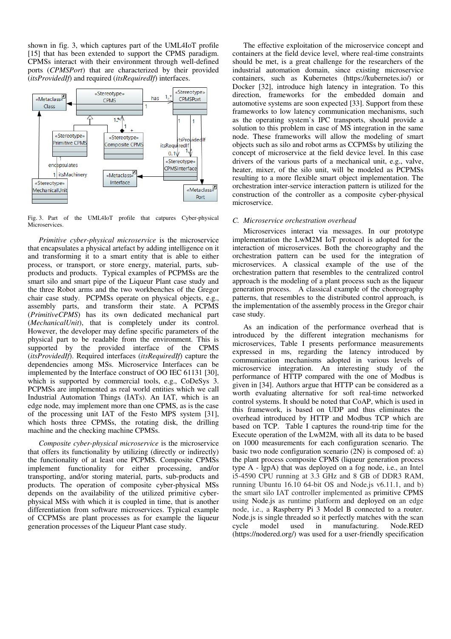shown in fig. 3, which captures part of the UML4IoT profile [15] that has been extended to support the CPMS paradigm. CPMSs interact with their environment through well-defined ports (*CPMSPort*) that are characterized by their provided (*itsProvidedIf*) and required (*itsRequiredIf*) interfaces.



Fig. 3. Part of the UML4IoT profile that catpures Cyber-physical Microservices.

*Primitive cyber-physical microservice* is the microservice that encapsulates a physical artefact by adding intelligence on it and transforming it to a smart entity that is able to either process, or transport, or store energy, material, parts, subproducts and products. Typical examples of PCPMSs are the smart silo and smart pipe of the Liqueur Plant case study and the three Robot arms and the two workbenches of the Gregor chair case study. PCPMSs operate on physical objects, e.g., assembly parts, and transform their state. A PCPMS (*PrimitiveCPMS*) has its own dedicated mechanical part (*MechanicalUnit*), that is completely under its control. However, the developer may define specific parameters of the physical part to be readable from the environment. This is supported by the provided interface of the CPMS (*itsProvidedIf*). Required interfaces (*itsRequiredIf*) capture the dependencies among MSs. Microservice Interfaces can be implemented by the Interface construct of OO IEC 61131 [30], which is supported by commercial tools, e.g., CoDeSys 3. PCPMSs are implemented as real world entities which we call Industrial Automation Things (IATs). An IAT, which is an edge node, may implement more than one CPMS, as is the case of the processing unit IAT of the Festo MPS system [31], which hosts three CPMSs, the rotating disk, the drilling machine and the checking machine CPMSs.

*Composite cyber-physical microservice* is the microservice that offers its functionality by utilizing (directly or indirectly) the functionality of at least one PCPMS. Composite CPMSs implement functionality for either processing, and/or transporting, and/or storing material, parts, sub-products and products. The operation of composite cyber-physical MSs depends on the availability of the utilized primitive cyberphysical MSs with which it is coupled in time, that is another differentiation from software microservices. Typical example of CCPMSs are plant processes as for example the liqueur generation processes of the Liqueur Plant case study.

 The effective exploitation of the microservice concept and containers at the field device level, where real-time constraints should be met, is a great challenge for the researchers of the industrial automation domain, since existing microservice containers, such as Kubernetes (https://kubernetes.io/) or Docker [32], introduce high latency in integration. To this direction, frameworks for the embedded domain and automotive systems are soon expected [33]. Support from these frameworks to low latency communication mechanisms, such as the operating system's IPC transports, should provide a solution to this problem in case of MS integration in the same node. These frameworks will allow the modeling of smart objects such as silo and robot arms as CCPMSs by utilizing the concept of microservice at the field device level. In this case drivers of the various parts of a mechanical unit, e.g., valve, heater, mixer, of the silo unit, will be modeled as PCPMSs resulting to a more flexible smart object implementation. The orchestration inter-service interaction pattern is utilized for the construction of the controller as a composite cyber-physical microservice.

#### *C. Microservice orchestration overhead*

Microservices interact via messages. In our prototype implementation the LwM2M IoT protocol is adopted for the interaction of microservices. Both the choreography and the orchestration pattern can be used for the integration of microservices. A classical example of the use of the orchestration pattern that resembles to the centralized control approach is the modeling of a plant process such as the liqueur generation process. A classical example of the choreography patterns, that resembles to the distributed control approach, is the implementation of the assembly process in the Gregor chair case study.

As an indication of the performance overhead that is introduced by the different integration mechanisms for microservices, Table I presents performance measurements expressed in ms, regarding the latency introduced by communication mechanisms adopted in various levels of microservice integration. An interesting study of the performance of HTTP compared with the one of Modbus is given in [34]. Authors argue that HTTP can be considered as a worth evaluating alternative for soft real-time networked control systems. It should be noted that CoAP, which is used in this framework, is based on UDP and thus eliminates the overhead introduced by HTTP and Modbus TCP which are based on TCP. Table I captures the round-trip time for the Execute operation of the LwM2M, with all its data to be based on 1000 measurements for each configuration scenario. The basic two node configuration scenario  $(2N)$  is composed of: a) the plant process composite CPMS (liqueur generation process type A - lgpA) that was deployed on a fog node, i.e., an Intel i5-4590 CPU running at 3.3 GHz and 8 GB of DDR3 RAM, running Ubuntu 16.10 64-bit OS and Node.js v6.11.1, and b) the smart silo IAT controller implemented as primitive CPMS using Node.js as runtime platform and deployed on an edge node, i.e., a Raspberry Pi 3 Model B connected to a router. Node.js is single threaded so it perfectly matches with the scan cycle model used in manufacturing. Node.RED (https://nodered.org/) was used for a user-friendly specification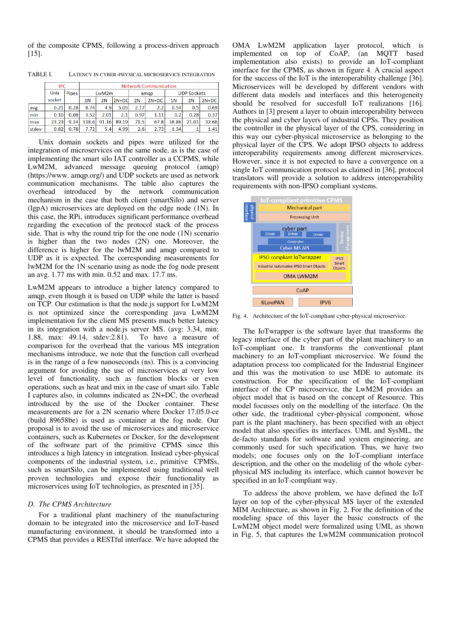of the composite CPMS, following a process-driven approach [15].

TABLE I. LATENCY IN CYBER-PHYSICAL MICROSERVICE INTEGRATION

|       | <b>IPC</b> |              | <b>Network Communication</b> |       |         |      |                    |       |       |         |  |
|-------|------------|--------------|------------------------------|-------|---------|------|--------------------|-------|-------|---------|--|
|       | Unix       | <b>Pipes</b> | LwM2m                        |       | amgp    |      | <b>UDP Sockets</b> |       |       |         |  |
|       | socket     |              | 1N                           | 2N    | $2N+DC$ | 2N   | $2N+DC$            | 1N    | 2N    | $2N+DC$ |  |
| avg   | 0.21       | 0.28         | 8.74                         | 4.9   | 5.05    | 2.17 | 2.2                | 0.54  | 0.5   | 0.69    |  |
| min   | 0.10       | 0.08         | 3.52                         | 2.01  | 2.1     | 0.97 | 1.11               | 0.2   | 0.28  | 0.37    |  |
| max   | 23.23      | 9.34         | 138.6                        | 91.16 | 89.19   | 71.5 | 67.8               | 38.86 | 21.01 | 32.66   |  |
| stdev | 0.82       | 0.78         | 7.72                         | 5.4   | 4.99    | 2.6  | 2.73               | 1.34  |       | 1.41    |  |

Unix domain sockets and pipes were utilized for the integration of microservices on the same node, as is the case of implementing the smart silo IAT controller as a CCPMS, while LwM2M, advanced message queuing protocol (amqp) (https://www. amqp.org/) and UDP sockets are used as network communication mechanisms. The table also captures the overhead introduced by the network communication mechanism in the case that both client (smartSilo) and server (lgpA) microservices are deployed on the edge node (1N). In this case, the RPi, introduces significant performance overhead regarding the execution of the protocol stack of the process side. That is why the round trip for the one node (1N) scenario is higher than the two nodes (2N) one. Moreover, the difference is higher for the lwM2M and amqp compared to UDP as it is expected. The corresponding measurements for lwM2M for the 1N scenario using as node the fog node present an avg. 1.77 ms with min. 0.52 and max. 17.7 ms.

LwM2M appears to introduce a higher latency compared to amqp, even though it is based on UDP while the latter is based on TCP. Our estimation is that the node.js support for LwM2M is not optimized since the corresponding java LwM2M implementation for the client MS presents much better latency in its integration with a node.js server MS. (avg: 3.34, min: 1.88, max: 49.14, stdev:2.81). To have a measure of 1.88, max:  $49.14$ , stdev:  $2.81$ ). comparison for the overhead that the various MS integration mechanisms introduce, we note that the function call overhead is in the range of a few nanoseconds (ns). This is a convincing argument for avoiding the use of microservices at very low level of functionality, such as function blocks or even operations, such as heat and mix in the case of smart silo. Table I captures also, in columns indicated as 2N+DC, the overhead introduced by the use of the Docker container. These measurements are for a 2N scenario where Docker 17.05.0-ce (build 89658be) is used as container at the fog node. Our proposal is to avoid the use of microservices and microservice containers, such as Kubernetes or Docker, for the development of the software part of the primitive CPMS since this introduces a high latency in integration. Instead cyber-physical components of the industrial system, i.e., primitive CPMSs, such as smartSilo, can be implemented using traditional well proven technologies and expose their functionality as microservices using IoT technologies, as presented in [35].

# *D. The CPMS Architecture*

For a traditional plant machinery of the manufacturing domain to be integrated into the microservice and IoT-based manufacturing environment, it should be transformed into a CPMS that provides a RESTful interface. We have adopted the

OMA LwM2M application layer protocol, which is implemented on top of CoAP, (an MQTT based implementation also exists) to provide an IoT-compliant interface for the CPMS, as shown in figure 4. A crucial aspect for the success of the IoT is the interoperability challenge [36]. Microservices will be developed by different vendors with different data models and interfaces and this heterogeneity should be resolved for succesfull IoT realizations [16]. Authors in [3] present a layer to obtain interoperability between the physical and cyber layers of industrial CPSs. They position the controller in the physical layer of the CPS, considering in this way our cyber-physical microservice as belonging to the physical layer of the CPS. We adopt IPSO objects to address interoperability requirements among different microservices. However, since it is not expected to have a convergence on a single IoT communication protocol as claimed in [36], protocol translators will provide a solution to address interoperability requirements with non-IPSO compliant systems.



Fig. 4. Architecture of the IoT-compliant cyber-physical microservice.

The IoTwrapper is the software layer that transforms the legacy interface of the cyber part of the plant machinery to an IoT-compliant one. It transforms the conventional plant machinery to an IoT-compliant microservice. We found the adaptation process too complicated for the Industrial Engineer and this was the motivation to use MDE to automate its construction. For the specification of the IoT-compliant interface of the CP microservice, the LwM2M provides an object model that is based on the concept of Resource. This model focusses only on the modelling of the interface. On the other side, the traditional cyber-physical component, whose part is the plant machinery, has been specified with an object model that also specifies its interfaces. UML and SysML, the de-facto standards for software and system engineering, are commonly used for such specification. Thus, we have two models; one focuses only on the IoT-compliant interface description, and the other on the modeling of the whole cyberphysical MS including its interface, which cannot however be specified in an IoT-compliant way.

To address the above problem, we have defined the IoT layer on top of the cyber-physical MS layer of the extended MIM Architecture, as shown in Fig. 2. For the definition of the modeling space of this layer the basic constructs of the LwM2M object model were formalized using UML as shown in Fig. 5, that captures the LwM2M communication protocol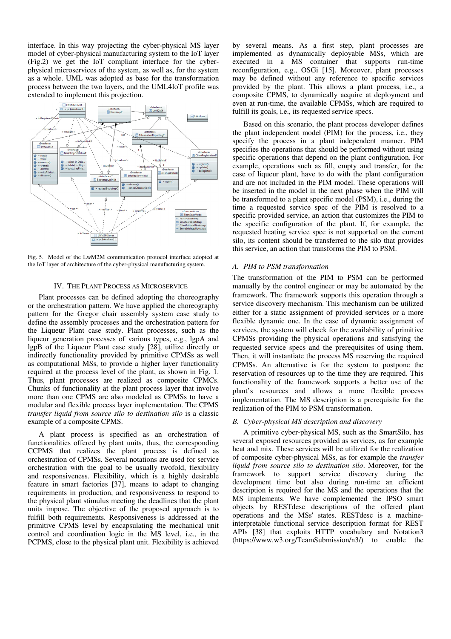interface. In this way projecting the cyber-physical MS layer model of cyber-physical manufacturing system to the IoT layer (Fig.2) we get the IoT compliant interface for the cyberphysical microservices of the system, as well as, for the system as a whole. UML was adopted as base for the transformation process between the two layers, and the UML4IoT profile was extended to implement this projection.



Fig. 5. Model of the LwM2M communication protocol interface adopted at the IoT layer of architecture of the cyber-physical manufacturing system.

# IV. THE PLANT PROCESS AS MICROSERVICE

Plant processes can be defined adopting the choreography or the orchestration pattern. We have applied the choreography pattern for the Gregor chair assembly system case study to define the assembly processes and the orchestration pattern for the Liqueur Plant case study. Plant processes, such as the liqueur generation processes of various types, e.g., lgpA and lgpB of the Liqueur Plant case study [28], utilize directly or indirectly functionality provided by primitive CPMSs as well as computational MSs, to provide a higher layer functionality required at the process level of the plant, as shown in Fig. 1. Thus, plant processes are realized as composite CPMCs. Chunks of functionality at the plant process layer that involve more than one CPMS are also modeled as CPMSs to have a modular and flexible process layer implementation. The CPMS *transfer liquid from source silo to destination silo* is a classic example of a composite CPMS.

A plant process is specified as an orchestration of functionalities offered by plant units, thus, the corresponding CCPMS that realizes the plant process is defined as orchestration of CPMSs. Several notations are used for service orchestration with the goal to be usually twofold, flexibility and responsiveness. Flexibility, which is a highly desirable feature in smart factories [37], means to adapt to changing requirements in production, and responsiveness to respond to the physical plant stimulus meeting the deadlines that the plant units impose. The objective of the proposed approach is to fulfill both requirements. Responsiveness is addressed at the primitive CPMS level by encapsulating the mechanical unit control and coordination logic in the MS level, i.e., in the PCPMS, close to the physical plant unit. Flexibility is achieved by several means. As a first step, plant processes are implemented as dynamically deployable MSs, which are executed in a MS container that supports run-time reconfiguration, e.g., OSGi [15]. Moreover, plant processes may be defined without any reference to specific services provided by the plant. This allows a plant process, i.e., a composite CPMS, to dynamically acquire at deployment and even at run-time, the available CPMSs, which are required to fulfill its goals, i.e., its requested service specs.

Based on this scenario, the plant process developer defines the plant independent model (PIM) for the process, i.e., they specify the process in a plant independent manner. PIM specifies the operations that should be performed without using specific operations that depend on the plant configuration. For example, operations such as fill, empty and transfer, for the case of liqueur plant, have to do with the plant configuration and are not included in the PIM model. These operations will be inserted in the model in the next phase when the PIM will be transformed to a plant specific model (PSM), i.e., during the time a requested service spec of the PIM is resolved to a specific provided service, an action that customizes the PIM to the specific configuration of the plant. If, for example, the requested heating service spec is not supported on the current silo, its content should be transferred to the silo that provides this service, an action that transforms the PIM to PSM.

### *A. PIM to PSM transformation*

The transformation of the PIM to PSM can be performed manually by the control engineer or may be automated by the framework. The framework supports this operation through a service discovery mechanism. This mechanism can be utilized either for a static assignment of provided services or a more flexible dynamic one. In the case of dynamic assignment of services, the system will check for the availability of primitive CPMSs providing the physical operations and satisfying the requested service specs and the prerequisites of using them. Then, it will instantiate the process MS reserving the required CPMSs. An alternative is for the system to postpone the reservation of resources up to the time they are required. This functionality of the framework supports a better use of the plant's resources and allows a more flexible process implementation. The MS description is a prerequisite for the realization of the PIM to PSM transformation.

### *B. Cyber-physical MS description and discovery*

A primitive cyber-physical MS, such as the SmartSilo, has several exposed resources provided as services, as for example heat and mix. These services will be utilized for the realization of composite cyber-physical MSs, as for example the *transfer liquid from source silo to destination silo*. Moreover, for the framework to support service discovery during the development time but also during run-time an efficient description is required for the MS and the operations that the MS implements. We have complemented the IPSO smart objects by RESTdesc descriptions of the offered plant operations and the MSs' states. RESTdesc is a machineinterpretable functional service description format for REST APIs [38] that exploits HTTP vocabulary and Notation3 (https://www.w3.org/TeamSubmission/n3/) to enable the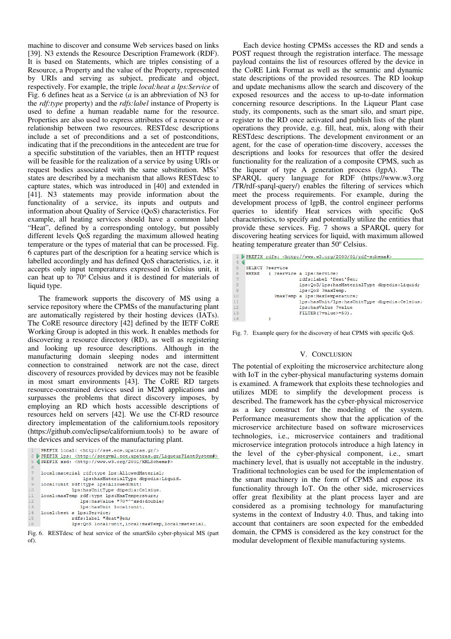machine to discover and consume Web services based on links [39]. N3 extends the Resource Description Framework (RDF). It is based on Statements, which are triples consisting of a Resource, a Property and the value of the Property, represented by URIs and serving as subject, predicate and object, respectively. For example, the triple *local:heat a lps:Service* of Fig. 6 defines heat as a Service (*a* is an abbreviation of N3 for the *rdf:type* property) and the *rdfs:label* instance of Property is used to define a human readable name for the resource. Properties are also used to express attributes of a resource or a relationship between two resources. RESTdesc descriptions include a set of preconditions and a set of postconditions, indicating that if the preconditions in the antecedent are true for a specific substitution of the variables, then an HTTP request will be feasible for the realization of a service by using URIs or request bodies associated with the same substitution. MSs' states are described by a mechanism that allows RESTdesc to capture states, which was introduced in [40] and extended in [41]. N3 statements may provide information about the functionality of a service, its inputs and outputs and information about Quality of Service (QoS) characteristics. For example, all heating services should have a common label "Heat", defined by a corresponding ontology, but possibly different levels QoS regarding the maximum allowed heating temperature or the types of material that can be processed. Fig. 6 captures part of the description for a heating service which is labelled accordingly and has defined QoS characteristics, i.e. it accepts only input temperatures expressed in Celsius unit, it can heat up to  $70^{\circ}$  Celsius and it is destined for materials of liquid type.

The framework supports the discovery of MS using a service repository where the CPMSs of the manufacturing plant are automatically registered by their hosting devices (IATs). The CoRE resource directory [42] defined by the IETF CoRE Working Group is adopted in this work. It enables methods for discovering a resource directory (RD), as well as registering and looking up resource descriptions. Although in the manufacturing domain sleeping nodes and intermittent connection to constrained network are not the case, direct discovery of resources provided by devices may not be feasible in most smart environments [43]. The CoRE RD targets resource-constrained devices used in M2M applications and surpasses the problems that direct discovery imposes, by employing an RD which hosts accessible descriptions of resources held on servers [42]. We use the Cf-RD resource directory implementation of the californium.tools repository (https://github.com/eclipse/californium.tools) to be aware of the devices and services of the manufacturing plant.

|                | PREFIX local: <http: ss4.ece.upatras.gr=""></http:>                            |
|----------------|--------------------------------------------------------------------------------|
|                | 2 PREFIX lps: <http: liqueurplantsystem#="" sseqvml.ece.upatras.gr=""></http:> |
| 5              | PREFIX xsd: <http: 2001="" www.w3.org="" xmlschema#=""></http:>                |
| 6              |                                                                                |
|                | local: material rdf:type lps: AllowedMaterial;                                 |
| 8              | lps:hasMaterialType dbpedia:Liquid.                                            |
| $\overline{9}$ | local: unit rdf: type lps: AllowedUnit;                                        |
| 10             | lps:hasUnitTvpe dbpedia:Celsius.                                               |
| 11             | local: maxTemp_rdf:type_lps: MaxTemperature;                                   |
| 12             | lps:hasValue "70"^^xsd:double;                                                 |
| 13             | lps:hasUnit local:unit.                                                        |
| 14             | local: heat a lps: Service:                                                    |
| 15             | rdfs:label "Heat"@en;                                                          |
| 16             | lps:0oS local:unit.local:maxTemp.local:material.                               |
|                |                                                                                |

Fig. 6. RESTdesc of heat service of the smartSilo cyber-physical MS (part of).

Each device hosting CPMSs accesses the RD and sends a POST request through the registration interface. The message payload contains the list of resources offered by the device in the CoRE Link Format as well as the semantic and dynamic state descriptions of the provided resources. The RD lookup and update mechanisms allow the search and discovery of the exposed resources and the access to up-to-date information concerning resource descriptions. In the Liqueur Plant case study, its components, such as the smart silo, and smart pipe, register to the RD once activated and publish lists of the plant operations they provide, e.g. fill, heat, mix, along with their RESTdesc descriptions. The development environment or an agent, for the case of operation-time discovery, accesses the descriptions and looks for resources that offer the desired functionality for the realization of a composite CPMS, such as the liqueur of type A generation process (lgpA). The SPARQL query language for RDF (https://www.w3.org /TR/rdf-sparql-query/) enables the filtering of services which meet the process requirements. For example, during the development process of lgpB, the control engineer performs queries to identify Heat services with specific QoS characteristics, to specify and potentially utilize the entities that provide these services. Fig. 7 shows a SPARQL query for discovering heating services for liquid, with maximum allowed heating temperature greater than 50° Celsius.

```
1 PREFIX rdfs: <http://www.w3.org/2000/01/rdf-schema#>
 \bar{4}-5
    SELECT ?service
 \epsilonWHERE
             { ?service a lps:Service:
                         rdfs:label 'Heat'@en;
                         lps: QoS/lps: hasMaterialType dbpedia: Liquid;
 \mathbf{a}lps:0oS ?maxTemp.
10?maxTemp a lps:MaxTemperature;
11lps:hasUnit/lps:hasUnitType dbpedia:Celsius;
12lps:hasValue ?value
                         FILTER (?value>=50).
14
             Ï
```
Fig. 7. Example query for the discovery of heat CPMS with specific QoS.

# V. CONCLUSION

The potential of exploiting the microservice architecture along with IoT in the cyber-physical manufacturing systems domain is examined. A framework that exploits these technologies and utilizes MDE to simplify the development process is described. The framework has the cyber-physical microservice as a key construct for the modeling of the system. Performance measurements show that the application of the microservice architecture based on software microservices technologies, i.e., microservice containers and traditional microservice integration protocols introduce a high latency in the level of the cyber-physical component, i.e., smart machinery level, that is usually not acceptable in the industry. Traditional technologies can be used for the implementation of the smart machinery in the form of CPMS and expose its functionality through IoT. On the other side, microservices offer great flexibility at the plant process layer and are considered as a promising technology for manufacturing systems in the context of Industry 4.0. Thus, and taking into account that containers are soon expected for the embedded domain, the CPMS is considered as the key construct for the modular development of flexible manufacturing systems.